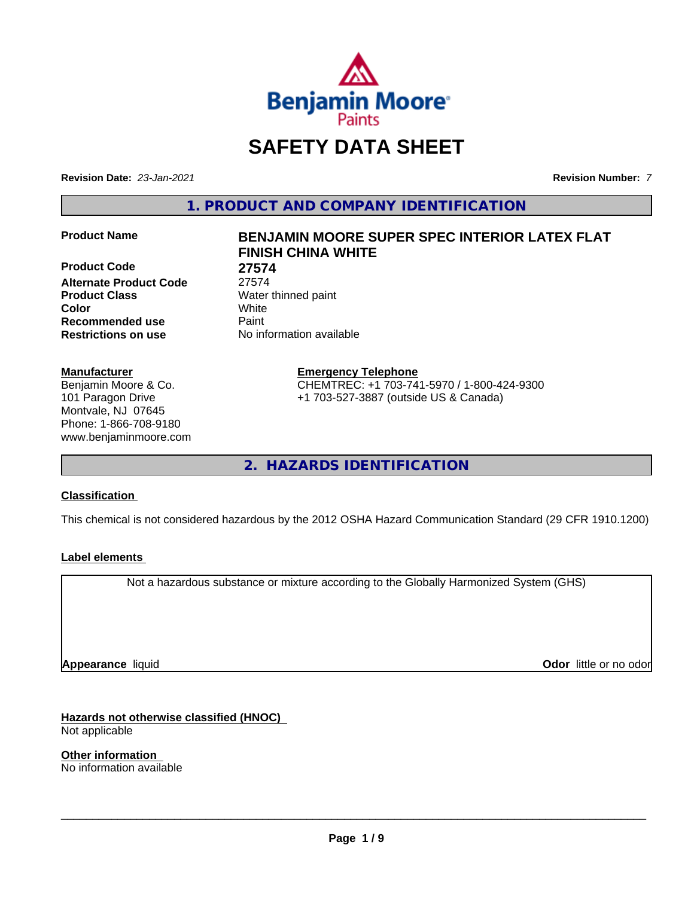

# **SAFETY DATA SHEET**

**Revision Date:** *23-Jan-2021* **Revision Number:** *7*

**1. PRODUCT AND COMPANY IDENTIFICATION**

**Product Code 27574 Alternate Product Code** 27574 **Product Class** Water thinned paint **Color** White **Recommended use Caint Restrictions on use** No information available

#### **Manufacturer**

Benjamin Moore & Co. 101 Paragon Drive Montvale, NJ 07645 Phone: 1-866-708-9180 www.benjaminmoore.com

# **Product Name BENJAMIN MOORE SUPER SPEC INTERIOR LATEX FLAT FINISH CHINA WHITE**

**Emergency Telephone**

CHEMTREC: +1 703-741-5970 / 1-800-424-9300 +1 703-527-3887 (outside US & Canada)

**2. HAZARDS IDENTIFICATION**

#### **Classification**

This chemical is not considered hazardous by the 2012 OSHA Hazard Communication Standard (29 CFR 1910.1200)

#### **Label elements**

Not a hazardous substance or mixture according to the Globally Harmonized System (GHS)

**Appearance** liquid

**Odor** little or no odor

**Hazards not otherwise classified (HNOC)** Not applicable

**Other information** No information available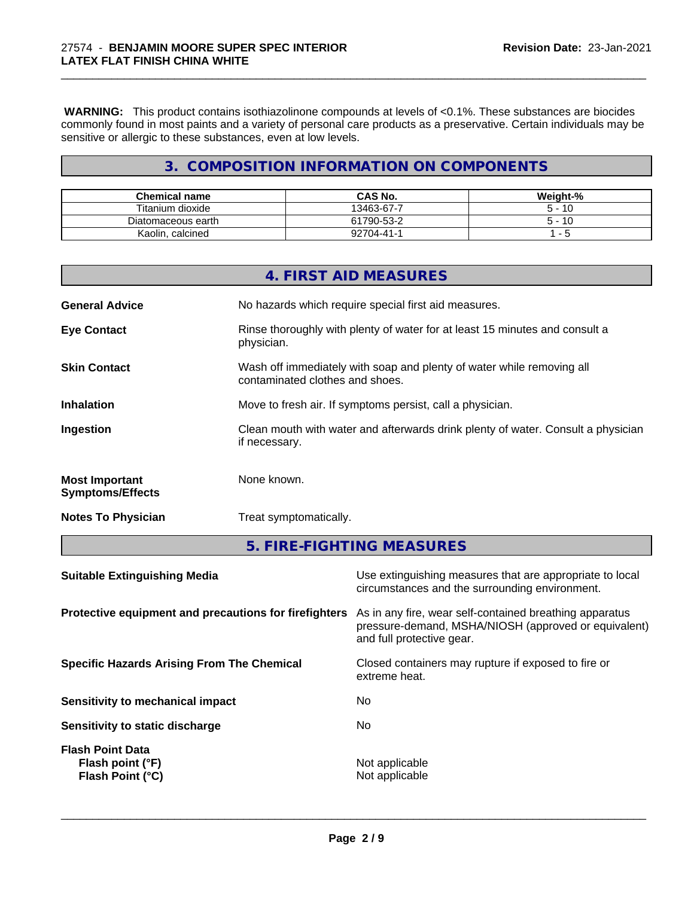**WARNING:** This product contains isothiazolinone compounds at levels of <0.1%. These substances are biocides commonly found in most paints and a variety of personal care products as a preservative. Certain individuals may be sensitive or allergic to these substances, even at low levels.

\_\_\_\_\_\_\_\_\_\_\_\_\_\_\_\_\_\_\_\_\_\_\_\_\_\_\_\_\_\_\_\_\_\_\_\_\_\_\_\_\_\_\_\_\_\_\_\_\_\_\_\_\_\_\_\_\_\_\_\_\_\_\_\_\_\_\_\_\_\_\_\_\_\_\_\_\_\_\_\_\_\_\_\_\_\_\_\_\_\_\_\_\_

# **3. COMPOSITION INFORMATION ON COMPONENTS**

| <b>Chemical name</b>   | <b>CAS No.</b>  | Weight-% |
|------------------------|-----------------|----------|
| Titanium dioxide       | 13463-67-7      | -10      |
| Diatomaceous earth     | 61790-53-2      | -10      |
| Kaolin.<br>ı, calcined | $2704 - 41 - 1$ |          |

|                                                  | 4. FIRST AID MEASURES                                                                                    |
|--------------------------------------------------|----------------------------------------------------------------------------------------------------------|
| <b>General Advice</b>                            | No hazards which require special first aid measures.                                                     |
| <b>Eye Contact</b>                               | Rinse thoroughly with plenty of water for at least 15 minutes and consult a<br>physician.                |
| <b>Skin Contact</b>                              | Wash off immediately with soap and plenty of water while removing all<br>contaminated clothes and shoes. |
| <b>Inhalation</b>                                | Move to fresh air. If symptoms persist, call a physician.                                                |
| Ingestion                                        | Clean mouth with water and afterwards drink plenty of water. Consult a physician<br>if necessary.        |
| <b>Most Important</b><br><b>Symptoms/Effects</b> | None known.                                                                                              |
| <b>Notes To Physician</b>                        | Treat symptomatically.                                                                                   |

**5. FIRE-FIGHTING MEASURES**

| <b>Suitable Extinguishing Media</b>                                    | Use extinguishing measures that are appropriate to local<br>circumstances and the surrounding environment.                                   |
|------------------------------------------------------------------------|----------------------------------------------------------------------------------------------------------------------------------------------|
| Protective equipment and precautions for firefighters                  | As in any fire, wear self-contained breathing apparatus<br>pressure-demand, MSHA/NIOSH (approved or equivalent)<br>and full protective gear. |
| <b>Specific Hazards Arising From The Chemical</b>                      | Closed containers may rupture if exposed to fire or<br>extreme heat.                                                                         |
| Sensitivity to mechanical impact                                       | No                                                                                                                                           |
| Sensitivity to static discharge                                        | No                                                                                                                                           |
| <b>Flash Point Data</b><br>Flash point (°F)<br><b>Flash Point (°C)</b> | Not applicable<br>Not applicable                                                                                                             |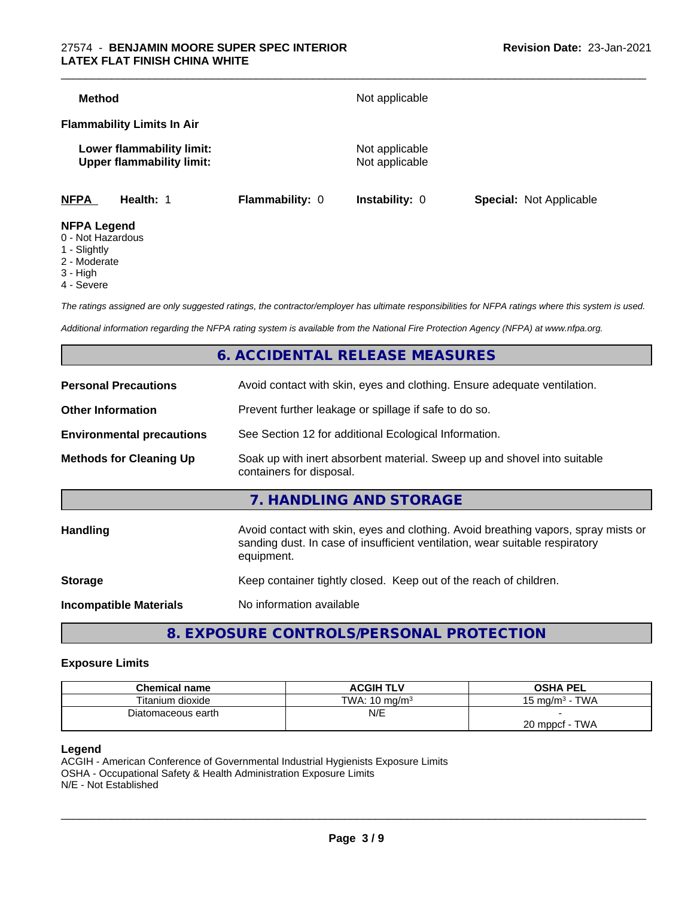#### 27574 - **BENJAMIN MOORE SUPER SPEC INTERIOR LATEX FLAT FINISH CHINA WHITE**

| <b>Method</b>                                                 |                        | Not applicable                   |                                |
|---------------------------------------------------------------|------------------------|----------------------------------|--------------------------------|
|                                                               |                        |                                  |                                |
| <b>Flammability Limits In Air</b>                             |                        |                                  |                                |
| Lower flammability limit:<br><b>Upper flammability limit:</b> |                        | Not applicable<br>Not applicable |                                |
| <b>NFPA</b><br>Health: 1                                      | <b>Flammability: 0</b> | <b>Instability: 0</b>            | <b>Special: Not Applicable</b> |
| <b>NFPA Legend</b><br>$\bigcap$ Niat Hamandaun                |                        |                                  |                                |

- 0 Not Hazardous
- 1 Slightly
- 2 Moderate
- 3 High
- 4 Severe

*The ratings assigned are only suggested ratings, the contractor/employer has ultimate responsibilities for NFPA ratings where this system is used.*

*Additional information regarding the NFPA rating system is available from the National Fire Protection Agency (NFPA) at www.nfpa.org.*

# **6. ACCIDENTAL RELEASE MEASURES**

| <b>Personal Precautions</b>      | Avoid contact with skin, eyes and clothing. Ensure adequate ventilation.                                                                                                         |
|----------------------------------|----------------------------------------------------------------------------------------------------------------------------------------------------------------------------------|
| <b>Other Information</b>         | Prevent further leakage or spillage if safe to do so.                                                                                                                            |
| <b>Environmental precautions</b> | See Section 12 for additional Ecological Information.                                                                                                                            |
| <b>Methods for Cleaning Up</b>   | Soak up with inert absorbent material. Sweep up and shovel into suitable<br>containers for disposal.                                                                             |
|                                  | 7. HANDLING AND STORAGE                                                                                                                                                          |
| <b>Handling</b>                  | Avoid contact with skin, eyes and clothing. Avoid breathing vapors, spray mists or<br>sanding dust. In case of insufficient ventilation, wear suitable respiratory<br>equipment. |
| <b>Storage</b>                   | Keep container tightly closed. Keep out of the reach of children.                                                                                                                |
| <b>Incompatible Materials</b>    | No information available                                                                                                                                                         |
|                                  |                                                                                                                                                                                  |

**8. EXPOSURE CONTROLS/PERSONAL PROTECTION**

#### **Exposure Limits**

| <b>Chemical name</b> | <b>ACGIH TLV</b>         | <b>OSHA PEL</b>              |
|----------------------|--------------------------|------------------------------|
| Titanium dioxide     | TWA: $10 \text{ mg/m}^3$ | <b>TWA</b><br>15 mg/m $^3$ - |
| Diatomaceous earth   | N/E                      |                              |
|                      |                          | TWA<br>$20$ mppcf -          |

#### **Legend**

ACGIH - American Conference of Governmental Industrial Hygienists Exposure Limits OSHA - Occupational Safety & Health Administration Exposure Limits N/E - Not Established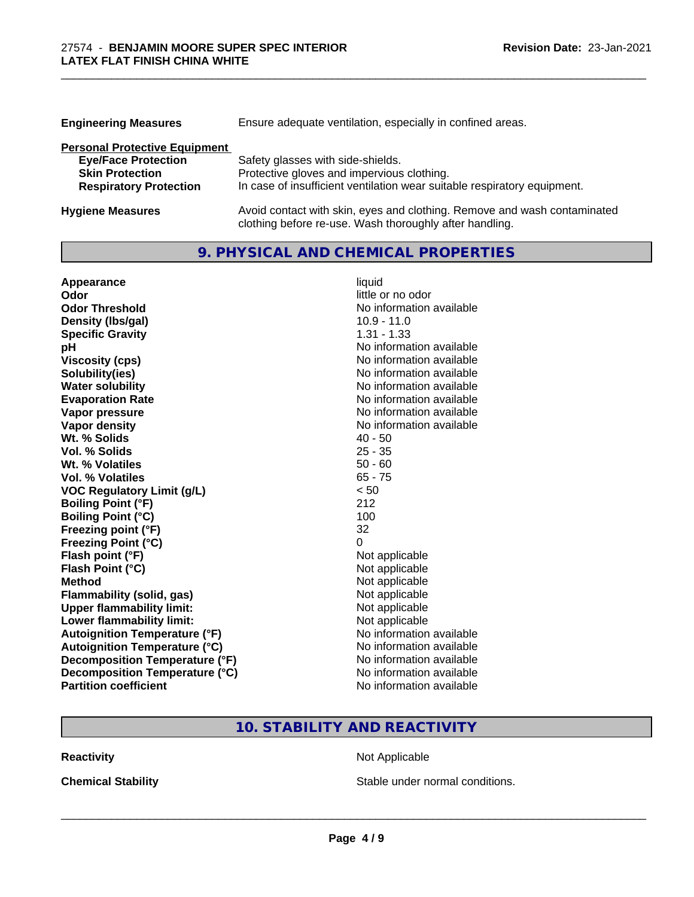| <b>Engineering Measures</b>          | Ensure adequate ventilation, especially in confined areas.                                                                          |
|--------------------------------------|-------------------------------------------------------------------------------------------------------------------------------------|
| <b>Personal Protective Equipment</b> |                                                                                                                                     |
| <b>Eye/Face Protection</b>           | Safety glasses with side-shields.                                                                                                   |
| <b>Skin Protection</b>               | Protective gloves and impervious clothing.                                                                                          |
| <b>Respiratory Protection</b>        | In case of insufficient ventilation wear suitable respiratory equipment.                                                            |
| <b>Hygiene Measures</b>              | Avoid contact with skin, eyes and clothing. Remove and wash contaminated<br>clothing before re-use. Wash thoroughly after handling. |

**9. PHYSICAL AND CHEMICAL PROPERTIES**

\_\_\_\_\_\_\_\_\_\_\_\_\_\_\_\_\_\_\_\_\_\_\_\_\_\_\_\_\_\_\_\_\_\_\_\_\_\_\_\_\_\_\_\_\_\_\_\_\_\_\_\_\_\_\_\_\_\_\_\_\_\_\_\_\_\_\_\_\_\_\_\_\_\_\_\_\_\_\_\_\_\_\_\_\_\_\_\_\_\_\_\_\_

| Appearance                           | liquid                   |
|--------------------------------------|--------------------------|
| Odor                                 | little or no odor        |
| <b>Odor Threshold</b>                | No information available |
| Density (Ibs/gal)                    | $10.9 - 11.0$            |
| <b>Specific Gravity</b>              | $1.31 - 1.33$            |
| рH                                   | No information available |
| <b>Viscosity (cps)</b>               | No information available |
| Solubility(ies)                      | No information available |
| <b>Water solubility</b>              | No information available |
| <b>Evaporation Rate</b>              | No information available |
| Vapor pressure                       | No information available |
| Vapor density                        | No information available |
| Wt. % Solids                         | $40 - 50$                |
| Vol. % Solids                        | $25 - 35$                |
| Wt. % Volatiles                      | $50 - 60$                |
| <b>Vol. % Volatiles</b>              | $65 - 75$                |
| <b>VOC Regulatory Limit (g/L)</b>    | < 50                     |
| <b>Boiling Point (°F)</b>            | 212                      |
| <b>Boiling Point (°C)</b>            | 100                      |
| Freezing point (°F)                  | 32                       |
| <b>Freezing Point (°C)</b>           | 0                        |
| Flash point (°F)                     | Not applicable           |
| Flash Point (°C)                     | Not applicable           |
| <b>Method</b>                        | Not applicable           |
| <b>Flammability (solid, gas)</b>     | Not applicable           |
| <b>Upper flammability limit:</b>     | Not applicable           |
| Lower flammability limit:            | Not applicable           |
| <b>Autoignition Temperature (°F)</b> | No information available |
| <b>Autoignition Temperature (°C)</b> | No information available |
| Decomposition Temperature (°F)       | No information available |
| Decomposition Temperature (°C)       | No information available |
| <b>Partition coefficient</b>         | No information available |

# **10. STABILITY AND REACTIVITY**

**Reactivity Not Applicable** Not Applicable

**Chemical Stability Chemical Stability** Stable under normal conditions.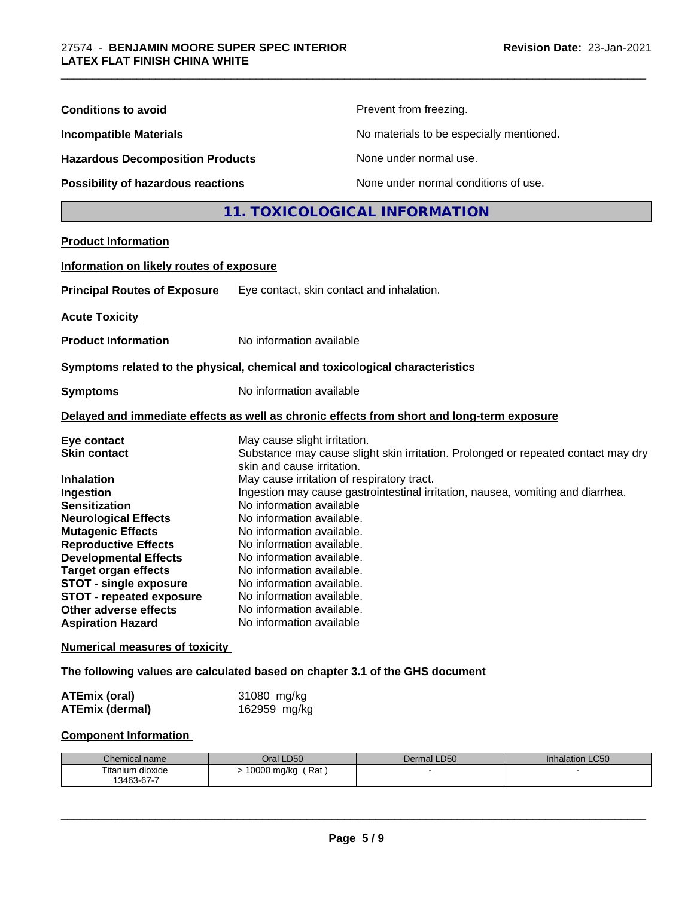| <b>Conditions to avoid</b>                                                                                                                                                                                                                                                                                                                                                                                                                                                                                                                                                                |                                                                                                                                                                                                                                                                                                                                                                                                                                         | Prevent from freezing.                                                                                                                                               |                 |
|-------------------------------------------------------------------------------------------------------------------------------------------------------------------------------------------------------------------------------------------------------------------------------------------------------------------------------------------------------------------------------------------------------------------------------------------------------------------------------------------------------------------------------------------------------------------------------------------|-----------------------------------------------------------------------------------------------------------------------------------------------------------------------------------------------------------------------------------------------------------------------------------------------------------------------------------------------------------------------------------------------------------------------------------------|----------------------------------------------------------------------------------------------------------------------------------------------------------------------|-----------------|
| No materials to be especially mentioned.<br><b>Incompatible Materials</b><br><b>Hazardous Decomposition Products</b><br>None under normal use.                                                                                                                                                                                                                                                                                                                                                                                                                                            |                                                                                                                                                                                                                                                                                                                                                                                                                                         |                                                                                                                                                                      |                 |
|                                                                                                                                                                                                                                                                                                                                                                                                                                                                                                                                                                                           |                                                                                                                                                                                                                                                                                                                                                                                                                                         |                                                                                                                                                                      |                 |
| Possibility of hazardous reactions                                                                                                                                                                                                                                                                                                                                                                                                                                                                                                                                                        |                                                                                                                                                                                                                                                                                                                                                                                                                                         | None under normal conditions of use.                                                                                                                                 |                 |
|                                                                                                                                                                                                                                                                                                                                                                                                                                                                                                                                                                                           |                                                                                                                                                                                                                                                                                                                                                                                                                                         | 11. TOXICOLOGICAL INFORMATION                                                                                                                                        |                 |
| <b>Product Information</b>                                                                                                                                                                                                                                                                                                                                                                                                                                                                                                                                                                |                                                                                                                                                                                                                                                                                                                                                                                                                                         |                                                                                                                                                                      |                 |
| Information on likely routes of exposure                                                                                                                                                                                                                                                                                                                                                                                                                                                                                                                                                  |                                                                                                                                                                                                                                                                                                                                                                                                                                         |                                                                                                                                                                      |                 |
| <b>Principal Routes of Exposure</b>                                                                                                                                                                                                                                                                                                                                                                                                                                                                                                                                                       | Eye contact, skin contact and inhalation.                                                                                                                                                                                                                                                                                                                                                                                               |                                                                                                                                                                      |                 |
| <b>Acute Toxicity</b>                                                                                                                                                                                                                                                                                                                                                                                                                                                                                                                                                                     |                                                                                                                                                                                                                                                                                                                                                                                                                                         |                                                                                                                                                                      |                 |
| <b>Product Information</b>                                                                                                                                                                                                                                                                                                                                                                                                                                                                                                                                                                | No information available                                                                                                                                                                                                                                                                                                                                                                                                                |                                                                                                                                                                      |                 |
| Symptoms related to the physical, chemical and toxicological characteristics                                                                                                                                                                                                                                                                                                                                                                                                                                                                                                              |                                                                                                                                                                                                                                                                                                                                                                                                                                         |                                                                                                                                                                      |                 |
| <b>Symptoms</b>                                                                                                                                                                                                                                                                                                                                                                                                                                                                                                                                                                           |                                                                                                                                                                                                                                                                                                                                                                                                                                         | No information available                                                                                                                                             |                 |
|                                                                                                                                                                                                                                                                                                                                                                                                                                                                                                                                                                                           |                                                                                                                                                                                                                                                                                                                                                                                                                                         | Delayed and immediate effects as well as chronic effects from short and long-term exposure                                                                           |                 |
| Eye contact<br><b>Skin contact</b><br><b>Inhalation</b><br>Ingestion<br><b>Sensitization</b><br><b>Neurological Effects</b><br><b>Mutagenic Effects</b><br><b>Reproductive Effects</b><br><b>Developmental Effects</b><br><b>Target organ effects</b><br><b>STOT - single exposure</b><br><b>STOT - repeated exposure</b><br>Other adverse effects<br><b>Aspiration Hazard</b><br><b>Numerical measures of toxicity</b><br>The following values are calculated based on chapter 3.1 of the GHS document<br><b>ATEmix (oral)</b><br><b>ATEmix (dermal)</b><br><b>Component Information</b> | May cause slight irritation.<br>skin and cause irritation.<br>May cause irritation of respiratory tract.<br>No information available<br>No information available.<br>No information available.<br>No information available.<br>No information available.<br>No information available.<br>No information available.<br>No information available.<br>No information available.<br>No information available<br>31080 mg/kg<br>162959 mg/kg | Substance may cause slight skin irritation. Prolonged or repeated contact may dry<br>Ingestion may cause gastrointestinal irritation, nausea, vomiting and diarrhea. |                 |
| Chemical name                                                                                                                                                                                                                                                                                                                                                                                                                                                                                                                                                                             | Oral LD50                                                                                                                                                                                                                                                                                                                                                                                                                               | Dermal LD50                                                                                                                                                          | Inhalation LC50 |
| Titanium dioxide<br>13463-67-7                                                                                                                                                                                                                                                                                                                                                                                                                                                                                                                                                            | > 10000 mg/kg (Rat)                                                                                                                                                                                                                                                                                                                                                                                                                     |                                                                                                                                                                      |                 |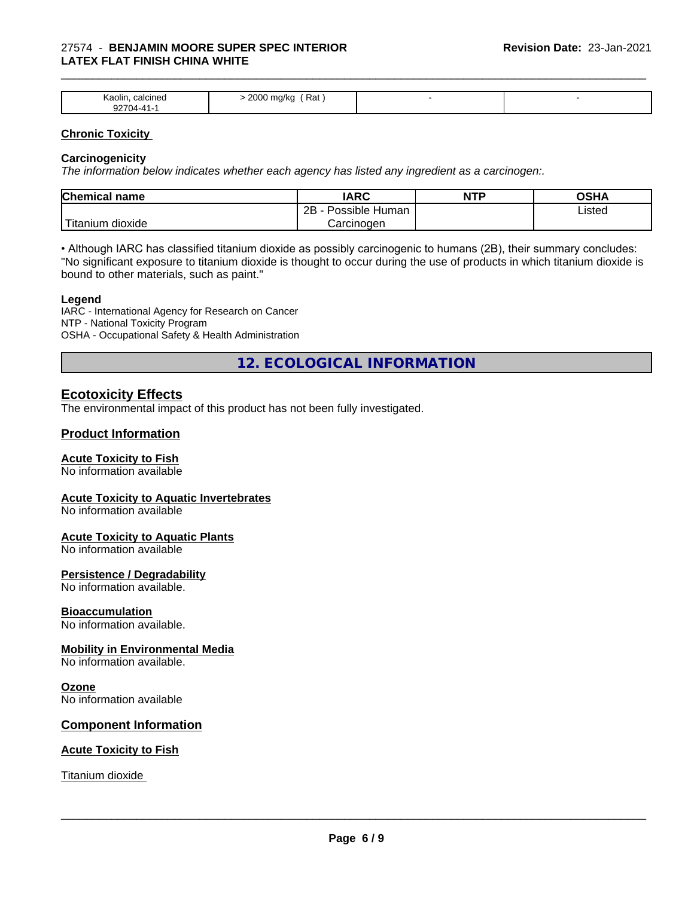#### 27574 - **BENJAMIN MOORE SUPER SPEC INTERIOR LATEX FLAT FINISH CHINA WHITE**

| Kaolin<br>30 H<br>.<br>___<br>~~<br>$\mathbf{1}$ | 0000<br>Kat<br>zuu<br>אי ו<br>___<br>$\mathbf{r}$ |  |
|--------------------------------------------------|---------------------------------------------------|--|

\_\_\_\_\_\_\_\_\_\_\_\_\_\_\_\_\_\_\_\_\_\_\_\_\_\_\_\_\_\_\_\_\_\_\_\_\_\_\_\_\_\_\_\_\_\_\_\_\_\_\_\_\_\_\_\_\_\_\_\_\_\_\_\_\_\_\_\_\_\_\_\_\_\_\_\_\_\_\_\_\_\_\_\_\_\_\_\_\_\_\_\_\_

#### **Chronic Toxicity**

#### **Carcinogenicity**

*The information below indicateswhether each agency has listed any ingredient as a carcinogen:.*

| Chemical<br>name               | <b>IARC</b>                               | NTP | $\sim$ $\sim$<br>אחטט |
|--------------------------------|-------------------------------------------|-----|-----------------------|
|                                | .<br>クロ<br>Human<br>Possible<br><u>__</u> |     | Listed                |
| .<br>dioxide<br><b>itanium</b> | Carcinoɑen                                |     |                       |

• Although IARC has classified titanium dioxide as possibly carcinogenic to humans (2B), their summary concludes: "No significant exposure to titanium dioxide is thought to occur during the use of products in which titanium dioxide is bound to other materials, such as paint."

#### **Legend**

IARC - International Agency for Research on Cancer NTP - National Toxicity Program OSHA - Occupational Safety & Health Administration

**12. ECOLOGICAL INFORMATION**

### **Ecotoxicity Effects**

The environmental impact of this product has not been fully investigated.

#### **Product Information**

#### **Acute Toxicity to Fish**

No information available

#### **Acute Toxicity to Aquatic Invertebrates**

No information available

#### **Acute Toxicity to Aquatic Plants**

No information available

#### **Persistence / Degradability**

No information available.

#### **Bioaccumulation**

No information available.

#### **Mobility in Environmental Media**

No information available.

#### **Ozone**

No information available

#### **Component Information**

#### **Acute Toxicity to Fish**

Titanium dioxide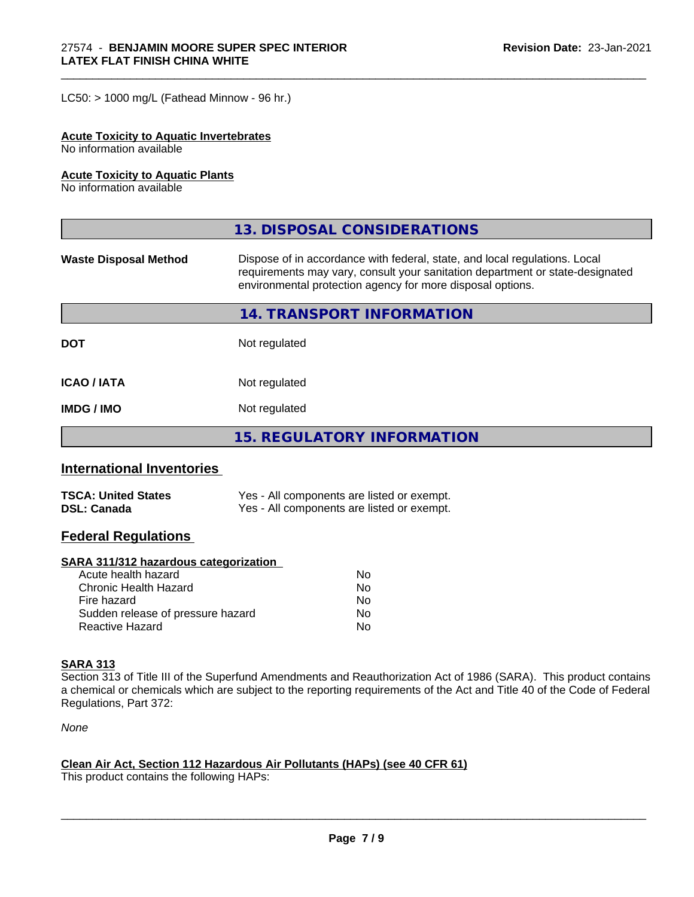$LC50:$  > 1000 mg/L (Fathead Minnow - 96 hr.)

#### **Acute Toxicity to Aquatic Invertebrates**

No information available

#### **Acute Toxicity to Aquatic Plants**

No information available

|                              | 13. DISPOSAL CONSIDERATIONS                                                                                                                                                                                               |
|------------------------------|---------------------------------------------------------------------------------------------------------------------------------------------------------------------------------------------------------------------------|
| <b>Waste Disposal Method</b> | Dispose of in accordance with federal, state, and local regulations. Local<br>requirements may vary, consult your sanitation department or state-designated<br>environmental protection agency for more disposal options. |
|                              | 14. TRANSPORT INFORMATION                                                                                                                                                                                                 |
| <b>DOT</b>                   | Not regulated                                                                                                                                                                                                             |
| <b>ICAO/IATA</b>             | Not regulated                                                                                                                                                                                                             |
| <b>IMDG / IMO</b>            | Not regulated                                                                                                                                                                                                             |
|                              | <b>15. REGULATORY INFORMATION</b>                                                                                                                                                                                         |

\_\_\_\_\_\_\_\_\_\_\_\_\_\_\_\_\_\_\_\_\_\_\_\_\_\_\_\_\_\_\_\_\_\_\_\_\_\_\_\_\_\_\_\_\_\_\_\_\_\_\_\_\_\_\_\_\_\_\_\_\_\_\_\_\_\_\_\_\_\_\_\_\_\_\_\_\_\_\_\_\_\_\_\_\_\_\_\_\_\_\_\_\_

## **International Inventories**

| <b>TSCA: United States</b> | Yes - All components are listed or exempt. |
|----------------------------|--------------------------------------------|
| <b>DSL: Canada</b>         | Yes - All components are listed or exempt. |

#### **Federal Regulations**

#### **SARA 311/312 hazardous categorization**

| Acute health hazard               | No |
|-----------------------------------|----|
| Chronic Health Hazard             | No |
| Fire hazard                       | No |
| Sudden release of pressure hazard | Nο |
| Reactive Hazard                   | N٥ |

### **SARA 313**

Section 313 of Title III of the Superfund Amendments and Reauthorization Act of 1986 (SARA). This product contains a chemical or chemicals which are subject to the reporting requirements of the Act and Title 40 of the Code of Federal Regulations, Part 372:

*None*

#### **Clean Air Act,Section 112 Hazardous Air Pollutants (HAPs) (see 40 CFR 61)**

This product contains the following HAPs: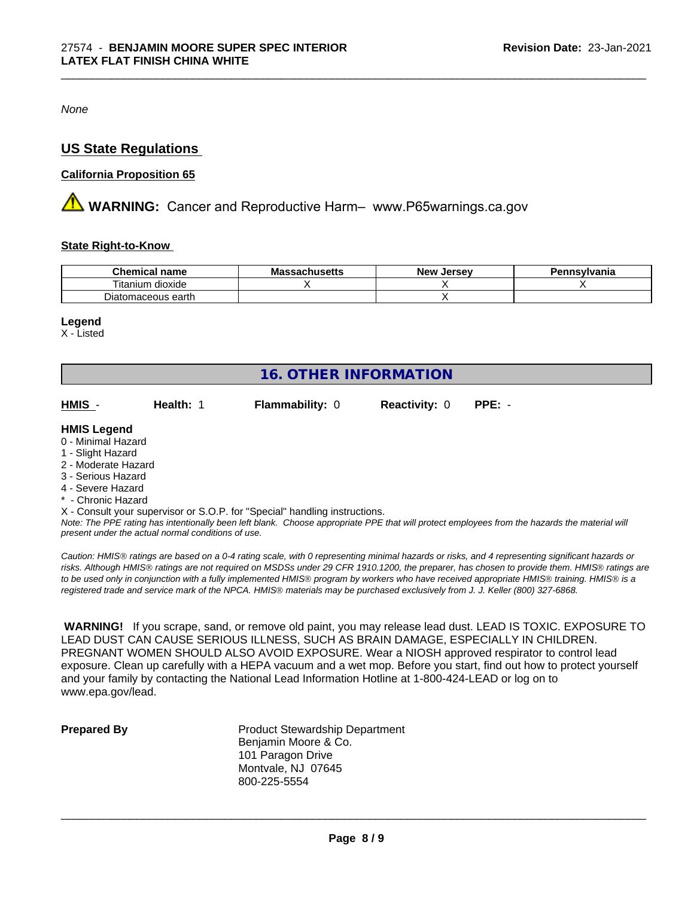*None*

# **US State Regulations**

#### **California Proposition 65**

**AVIMARNING:** Cancer and Reproductive Harm– www.P65warnings.ca.gov

#### **State Right-to-Know**

| --<br>Chemical<br>name                              | $1000 + 10$<br>IVIA<br><i>J</i> aunuscus | . Jersev<br><b>New</b> | nnsylvania |
|-----------------------------------------------------|------------------------------------------|------------------------|------------|
| $- \cdot$ .<br>$\cdots$<br>dioxide<br>.um<br>ltanii |                                          |                        |            |
| Diatomaceous earth                                  |                                          |                        |            |

\_\_\_\_\_\_\_\_\_\_\_\_\_\_\_\_\_\_\_\_\_\_\_\_\_\_\_\_\_\_\_\_\_\_\_\_\_\_\_\_\_\_\_\_\_\_\_\_\_\_\_\_\_\_\_\_\_\_\_\_\_\_\_\_\_\_\_\_\_\_\_\_\_\_\_\_\_\_\_\_\_\_\_\_\_\_\_\_\_\_\_\_\_

#### **Legend**

X - Listed

| <b>16. OTHER INFORMATION</b> |           |                                                                            |                      |          |  |  |
|------------------------------|-----------|----------------------------------------------------------------------------|----------------------|----------|--|--|
| HMIS -                       | Health: 1 | <b>Flammability: 0</b>                                                     | <b>Reactivity: 0</b> | $PPE: -$ |  |  |
| <b>HMIS Legend</b>           |           |                                                                            |                      |          |  |  |
| 0 - Minimal Hazard           |           |                                                                            |                      |          |  |  |
| 1 - Slight Hazard            |           |                                                                            |                      |          |  |  |
| 2 - Moderate Hazard          |           |                                                                            |                      |          |  |  |
| 3 - Serious Hazard           |           |                                                                            |                      |          |  |  |
| 4 - Severe Hazard            |           |                                                                            |                      |          |  |  |
| * - Chronic Hazard           |           |                                                                            |                      |          |  |  |
|                              |           | X - Consult your supervisor or S.O.P. for "Special" handling instructions. |                      |          |  |  |
|                              |           |                                                                            |                      |          |  |  |

*Note: The PPE rating has intentionally been left blank. Choose appropriate PPE that will protect employees from the hazards the material will present under the actual normal conditions of use.*

*Caution: HMISÒ ratings are based on a 0-4 rating scale, with 0 representing minimal hazards or risks, and 4 representing significant hazards or risks. Although HMISÒ ratings are not required on MSDSs under 29 CFR 1910.1200, the preparer, has chosen to provide them. HMISÒ ratings are to be used only in conjunction with a fully implemented HMISÒ program by workers who have received appropriate HMISÒ training. HMISÒ is a registered trade and service mark of the NPCA. HMISÒ materials may be purchased exclusively from J. J. Keller (800) 327-6868.*

 **WARNING!** If you scrape, sand, or remove old paint, you may release lead dust. LEAD IS TOXIC. EXPOSURE TO LEAD DUST CAN CAUSE SERIOUS ILLNESS, SUCH AS BRAIN DAMAGE, ESPECIALLY IN CHILDREN. PREGNANT WOMEN SHOULD ALSO AVOID EXPOSURE.Wear a NIOSH approved respirator to control lead exposure. Clean up carefully with a HEPA vacuum and a wet mop. Before you start, find out how to protect yourself and your family by contacting the National Lead Information Hotline at 1-800-424-LEAD or log on to www.epa.gov/lead.

**Prepared By** Product Stewardship Department Benjamin Moore & Co. 101 Paragon Drive Montvale, NJ 07645 800-225-5554